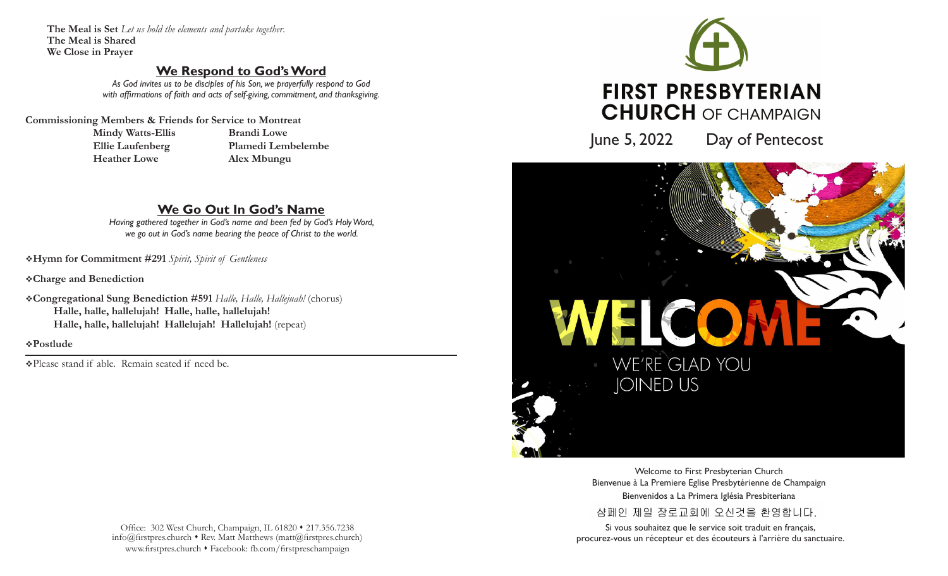**The Meal is Set** *Let us hold the elements and partake together*. **The Meal is Shared We Close in Prayer**

## **We Respond to God's Word**

*As God invites us to be disciples of his Son, we prayerfully respond to God with affirmations of faith and acts of self-giving, commitment, and thanksgiving.*

**Commissioning Members & Friends for Service to Montreat**

 **Mindy Watts-Ellis Brandi Lowe Heather Lowe Alex Mbungu** 

 **Ellie Laufenberg Plamedi Lembelembe**

# **We Go Out In God's Name**

*Having gathered together in God's name and been fed by God's Holy Word, we go out in God's name bearing the peace of Christ to the world.*

v**Hymn for Commitment #291** *Spirit, Spirit of Gentleness*

v**Charge and Benediction**

v**Congregational Sung Benediction #591** *Halle, Halle, Hallejuah!* (chorus) **Halle, halle, hallelujah! Halle, halle, hallelujah! Halle, halle, hallelujah! Hallelujah! Hallelujah!** (repeat)

v**Postlude** 

vPlease stand if able. Remain seated if need be.

Office: 302 West Church, Champaign, IL 61820 • 217.356.7238  $info@firstpreschurch * Rev. Matt Matthews (matt@firstpreschurch)$ www.firstpres.church • Facebook: fb.com/firstpreschampaign



June 5, 2022 Day of Pentecost



Welcome to First Presbyterian Church Bienvenue à La Premiere Eglise Presbytérienne de Champaign Bienvenidos a La Primera Iglésia Presbiteriana 샴페인 제일 장로교회에 오신것을 환영합니다.

Si vous souhaitez que le service soit traduit en français, procurez-vous un récepteur et des écouteurs à l'arrière du sanctuaire.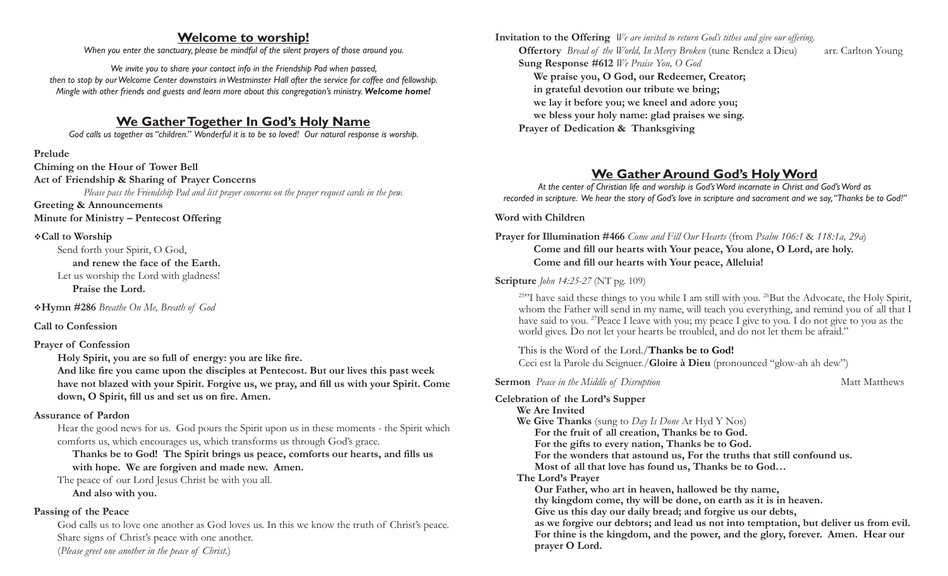### **Welcome to worship!**

*When you enter the sanctuary, please be mindful of the silent prayers of those around you.*

*We invite you to share your contact info in the Friendship Pad when passed, then to stop by our Welcome Center downstairs in Westminster Hall after the service for coffee and fellowship. Mingle with other friends and guests and learn more about this congregation's ministry. Welcome home!*

# **We Gather Together In God's Holy Name**

*God calls us together as "children." Wonderful it is to be so loved! Our natural response is worship.*

**Prelude** 

**Chiming on the Hour of Tower Bell Act of Friendship & Sharing of Prayer Concerns** *Please pass the Friendship Pad and list prayer concerns on the prayer request cards in the pew.* **Greeting & Announcements**

**Minute for Ministry – Pentecost Offering**

### v**Call to Worship**

Send forth your Spirit, O God,  **and renew the face of the Earth.**  Let us worship the Lord with gladness!  **Praise the Lord.** 

v**Hymn #286** *Breathe On Me, Breath of God*

### **Call to Confession**

### **Prayer of Confession**

 **Holy Spirit, you are so full of energy: you are like fire.**

 **And like fire you came upon the disciples at Pentecost. But our lives this past week have not blazed with your Spirit. Forgive us, we pray, and fill us with your Spirit. Come down, O Spirit, fill us and set us on fire. Amen.**

### **Assurance of Pardon**

Hear the good news for us. God pours the Spirit upon us in these moments - the Spirit which comforts us, which encourages us, which transforms us through God's grace.

 **Thanks be to God! The Spirit brings us peace, comforts our hearts, and fills us with hope. We are forgiven and made new. Amen.**

The peace of our Lord Jesus Christ be with you all.

**And also with you.**

### **Passing of the Peace**

God calls us to love one another as God loves us. In this we know the truth of Christ's peace. Share signs of Christ's peace with one another. (*Please greet one another in the peace of Christ.*)

**Invitation to the Offering** *We are invited to return God's tithes and give our offering.* **Offertory** *Bread of the World, In Mercy Broken* (tune Rendez a Dieu)arr. Carlton Young **Sung Response #612** *We Praise You, O God* **We praise you, O God, our Redeemer, Creator; in grateful devotion our tribute we bring; we lay it before you; we kneel and adore you; we bless your holy name: glad praises we sing. Prayer of Dedication & Thanksgiving** 

# **We Gather Around God's Holy Word**

*At the center of Christian life and worship is God's Word incarnate in Christ and God's Word as recorded in scripture. We hear the story of God's love in scripture and sacrament and we say, "Thanks be to God!"*

**Word with Children**

**Prayer for Illumination #466** *Come and Fill Our Hearts* (from *Psalm 106:1* & *118:1a, 29a*) **Come and fill our hearts with Your peace, You alone, O Lord, are holy. Come and fill our hearts with Your peace, Alleluia!**

### **Scripture** *John 14:25-27* (NT pg. 109)

 $25$ "I have said these things to you while I am still with you.  $26$ But the Advocate, the Holy Spirit, whom the Father will send in my name, will teach you everything, and remind you of all that I have said to you. <sup>27</sup>Peace I leave with you; my peace I give to you. I do not give to you as the world gives. Do not let your hearts be troubled, and do not let them be afraid."

This is the Word of the Lord./**Thanks be to God!**

Ceci est la Parole du Seignuer./**Gloire à Dieu** (pronounced "glow-ah ah dew")

**Sermon** *Peace in the Middle of Disruption* Matt Matthews **Matt Matthews** 

### **Celebration of the Lord's Supper**

**We Are Invited We Give Thanks** (sung to *Day Is Done* Ar Hyd Y Nos)  **For the fruit of all creation, Thanks be to God. For the gifts to every nation, Thanks be to God. For the wonders that astound us, For the truths that still confound us. Most of all that love has found us, Thanks be to God… The Lord's Prayer Our Father, who art in heaven, hallowed be thy name, thy kingdom come, thy will be done, on earth as it is in heaven. Give us this day our daily bread; and forgive us our debts,**

 **as we forgive our debtors; and lead us not into temptation, but deliver us from evil. For thine is the kingdom, and the power, and the glory, forever. Amen. Hear our prayer O Lord.**